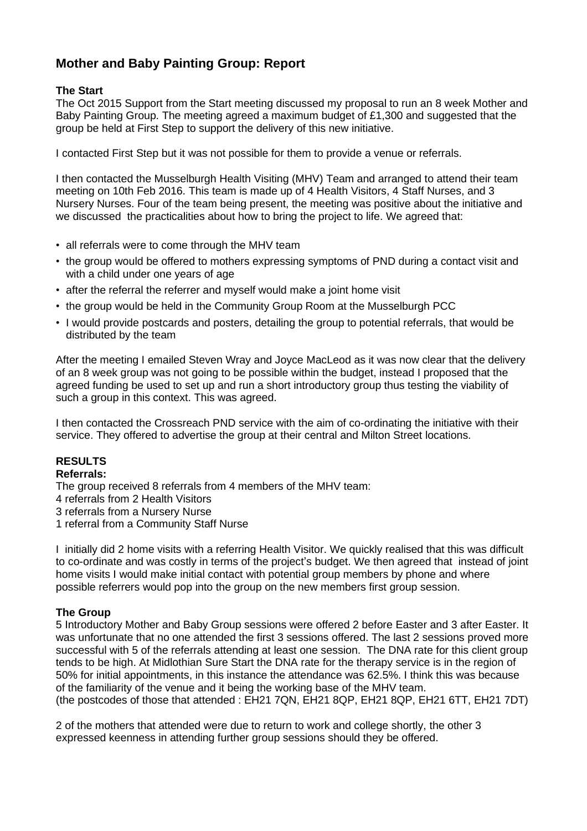# **Mother and Baby Painting Group: Report**

# **The Start**

The Oct 2015 Support from the Start meeting discussed my proposal to run an 8 week Mother and Baby Painting Group. The meeting agreed a maximum budget of £1,300 and suggested that the group be held at First Step to support the delivery of this new initiative.

I contacted First Step but it was not possible for them to provide a venue or referrals.

I then contacted the Musselburgh Health Visiting (MHV) Team and arranged to attend their team meeting on 10th Feb 2016. This team is made up of 4 Health Visitors, 4 Staff Nurses, and 3 Nursery Nurses. Four of the team being present, the meeting was positive about the initiative and we discussed the practicalities about how to bring the project to life. We agreed that:

- all referrals were to come through the MHV team
- the group would be offered to mothers expressing symptoms of PND during a contact visit and with a child under one years of age
- after the referral the referrer and myself would make a joint home visit
- the group would be held in the Community Group Room at the Musselburgh PCC
- I would provide postcards and posters, detailing the group to potential referrals, that would be distributed by the team

After the meeting I emailed Steven Wray and Joyce MacLeod as it was now clear that the delivery of an 8 week group was not going to be possible within the budget, instead I proposed that the agreed funding be used to set up and run a short introductory group thus testing the viability of such a group in this context. This was agreed.

I then contacted the Crossreach PND service with the aim of co-ordinating the initiative with their service. They offered to advertise the group at their central and Milton Street locations.

## **RESULTS**

#### **Referrals:**

The group received 8 referrals from 4 members of the MHV team:

4 referrals from 2 Health Visitors

3 referrals from a Nursery Nurse

1 referral from a Community Staff Nurse

I initially did 2 home visits with a referring Health Visitor. We quickly realised that this was difficult to co-ordinate and was costly in terms of the project's budget. We then agreed that instead of joint home visits I would make initial contact with potential group members by phone and where possible referrers would pop into the group on the new members first group session.

### **The Group**

5 Introductory Mother and Baby Group sessions were offered 2 before Easter and 3 after Easter. It was unfortunate that no one attended the first 3 sessions offered. The last 2 sessions proved more successful with 5 of the referrals attending at least one session. The DNA rate for this client group tends to be high. At Midlothian Sure Start the DNA rate for the therapy service is in the region of 50% for initial appointments, in this instance the attendance was 62.5%. I think this was because of the familiarity of the venue and it being the working base of the MHV team. (the postcodes of those that attended : EH21 7QN, EH21 8QP, EH21 8QP, EH21 6TT, EH21 7DT)

2 of the mothers that attended were due to return to work and college shortly, the other 3 expressed keenness in attending further group sessions should they be offered.